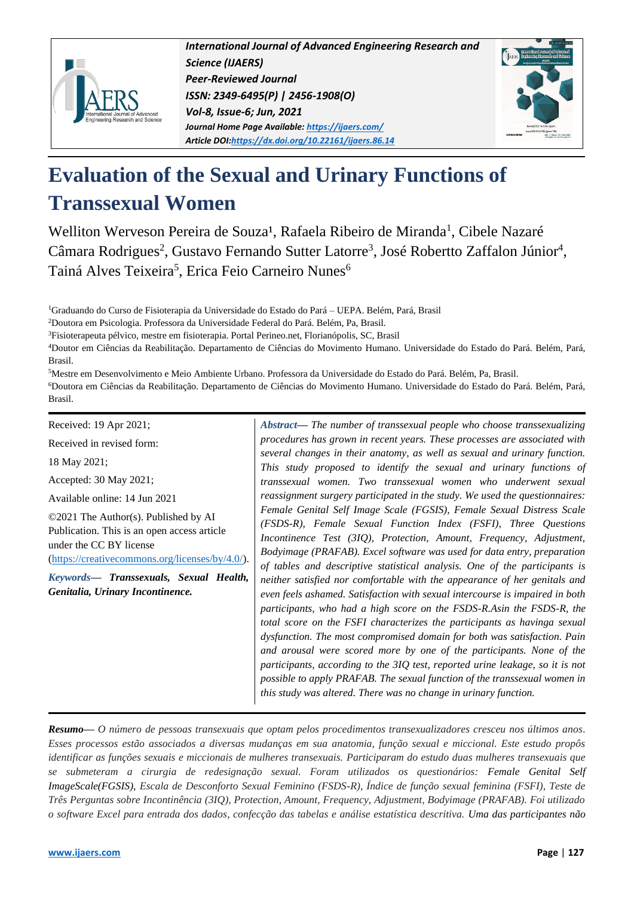

*International Journal of Advanced Engineering Research and Science (IJAERS) Peer-Reviewed Journal ISSN: 2349-6495(P) | 2456-1908(O) Vol-8, Issue-6; Jun, 2021 Journal Home Page Available[: https://ijaers.com/](https://ijaers.com/) Article DOI[:https://dx.doi.org/10.22161/ijaers.86.14](https://dx.doi.org/10.22161/ijaers.86.14)*



# **Evaluation of the Sexual and Urinary Functions of Transsexual Women**

Welliton Werveson Pereira de Souza<sup>1</sup>, Rafaela Ribeiro de Miranda<sup>1</sup>, Cibele Nazaré Câmara Rodrigues<sup>2</sup>, Gustavo Fernando Sutter Latorre<sup>3</sup>, José Robertto Zaffalon Júnior<sup>4</sup>, Tainá Alves Teixeira<sup>5</sup>, Erica Feio Carneiro Nunes<sup>6</sup>

<sup>1</sup>Graduando do Curso de Fisioterapia da Universidade do Estado do Pará – UEPA. Belém, Pará, Brasil

<sup>2</sup>Doutora em Psicologia. Professora da Universidade Federal do Pará. Belém, Pa, Brasil.

<sup>3</sup>Fisioterapeuta pélvico, mestre em fisioterapia. Portal Perineo.net, Florianópolis, SC, Brasil

<sup>4</sup>Doutor em Ciências da Reabilitação. Departamento de Ciências do Movimento Humano. Universidade do Estado do Pará. Belém, Pará, Brasil.

<sup>5</sup>Mestre em Desenvolvimento e Meio Ambiente Urbano. Professora da Universidade do Estado do Pará. Belém, Pa, Brasil. <sup>6</sup>Doutora em Ciências da Reabilitação. Departamento de Ciências do Movimento Humano. Universidade do Estado do Pará. Belém, Pará, Brasil.

Received: 19 Apr 2021;

Received in revised form:

18 May 2021;

Accepted: 30 May 2021;

Available online: 14 Jun 2021

©2021 The Author(s). Published by AI Publication. This is an open access article under the CC BY license [\(https://creativecommons.org/licenses/by/4.0/\)](https://creativecommons.org/licenses/by/4.0/).

*Keywords***—** *Transsexuals, Sexual Health, Genitalia, Urinary Incontinence.*

*Abstract***—** *The number of transsexual people who choose transsexualizing procedures has grown in recent years. These processes are associated with several changes in their anatomy, as well as sexual and urinary function. This study proposed to identify the sexual and urinary functions of transsexual women. Two transsexual women who underwent sexual reassignment surgery participated in the study. We used the questionnaires: Female Genital Self Image Scale (FGSIS), Female Sexual Distress Scale (FSDS-R), Female Sexual Function Index (FSFI), Three Questions Incontinence Test (3IQ), Protection, Amount, Frequency, Adjustment, Bodyimage (PRAFAB). Excel software was used for data entry, preparation of tables and descriptive statistical analysis. One of the participants is neither satisfied nor comfortable with the appearance of her genitals and even feels ashamed. Satisfaction with sexual intercourse is impaired in both participants, who had a high score on the FSDS-R.Asin the FSDS-R, the total score on the FSFI characterizes the participants as havinga sexual dysfunction. The most compromised domain for both was satisfaction. Pain and arousal were scored more by one of the participants. None of the participants, according to the 3IQ test, reported urine leakage, so it is not possible to apply PRAFAB. The sexual function of the transsexual women in this study was altered. There was no change in urinary function.*

*Resumo— O número de pessoas transexuais que optam pelos procedimentos transexualizadores cresceu nos últimos anos. Esses processos estão associados a diversas mudanças em sua anatomia, função sexual e miccional. Este estudo propôs identificar as funções sexuais e miccionais de mulheres transexuais. Participaram do estudo duas mulheres transexuais que se submeteram a cirurgia de redesignação sexual. Foram utilizados os questionários: Female Genital Self ImageScale(FGSIS), Escala de Desconforto Sexual Feminino (FSDS-R), Índice de função sexual feminina (FSFI), Teste de Três Perguntas sobre Incontinência (3IQ), Protection, Amount, Frequency, Adjustment, Bodyimage (PRAFAB). Foi utilizado o software Excel para entrada dos dados, confecção das tabelas e análise estatística descritiva. Uma das participantes não*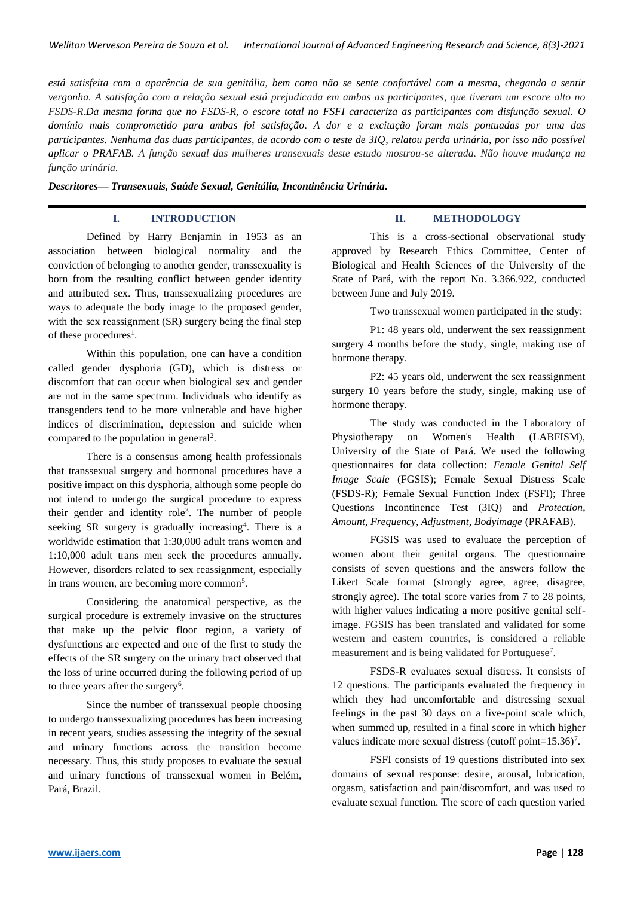*está satisfeita com a aparência de sua genitália, bem como não se sente confortável com a mesma, chegando a sentir vergonha. A satisfação com a relação sexual está prejudicada em ambas as participantes, que tiveram um escore alto no FSDS-R.Da mesma forma que no FSDS-R, o escore total no FSFI caracteriza as participantes com disfunção sexual. O domínio mais comprometido para ambas foi satisfação. A dor e a excitação foram mais pontuadas por uma das participantes. Nenhuma das duas participantes, de acordo com o teste de 3IQ, relatou perda urinária, por isso não possível aplicar o PRAFAB. A função sexual das mulheres transexuais deste estudo mostrou-se alterada. Não houve mudança na função urinária.*

*Descritores— Transexuais, Saúde Sexual, Genitália, Incontinência Urinária.*

## **I. INTRODUCTION**

Defined by Harry Benjamin in 1953 as an association between biological normality and the conviction of belonging to another gender, transsexuality is born from the resulting conflict between gender identity and attributed sex. Thus, transsexualizing procedures are ways to adequate the body image to the proposed gender, with the sex reassignment (SR) surgery being the final step of these procedures<sup>1</sup>.

Within this population, one can have a condition called gender dysphoria (GD), which is distress or discomfort that can occur when biological sex and gender are not in the same spectrum. Individuals who identify as transgenders tend to be more vulnerable and have higher indices of discrimination, depression and suicide when compared to the population in general<sup>2</sup>.

There is a consensus among health professionals that transsexual surgery and hormonal procedures have a positive impact on this dysphoria, although some people do not intend to undergo the surgical procedure to express their gender and identity role<sup>3</sup>. The number of people seeking SR surgery is gradually increasing<sup>4</sup>. There is a worldwide estimation that 1:30,000 adult trans women and 1:10,000 adult trans men seek the procedures annually. However, disorders related to sex reassignment, especially in trans women, are becoming more common<sup>5</sup>.

Considering the anatomical perspective, as the surgical procedure is extremely invasive on the structures that make up the pelvic floor region, a variety of dysfunctions are expected and one of the first to study the effects of the SR surgery on the urinary tract observed that the loss of urine occurred during the following period of up to three years after the surgery<sup>6</sup>.

Since the number of transsexual people choosing to undergo transsexualizing procedures has been increasing in recent years, studies assessing the integrity of the sexual and urinary functions across the transition become necessary. Thus, this study proposes to evaluate the sexual and urinary functions of transsexual women in Belém, Pará, Brazil.

# **II. METHODOLOGY**

This is a cross-sectional observational study approved by Research Ethics Committee, Center of Biological and Health Sciences of the University of the State of Pará, with the report No. 3.366.922, conducted between June and July 2019.

Two transsexual women participated in the study:

P1: 48 years old, underwent the sex reassignment surgery 4 months before the study, single, making use of hormone therapy.

P2: 45 years old, underwent the sex reassignment surgery 10 years before the study, single, making use of hormone therapy.

The study was conducted in the Laboratory of Physiotherapy on Women's Health (LABFISM), University of the State of Pará. We used the following questionnaires for data collection: *Female Genital Self Image Scale* (FGSIS); Female Sexual Distress Scale (FSDS-R); Female Sexual Function Index (FSFI); Three Questions Incontinence Test (3IQ) and *Protection, Amount, Frequency, Adjustment, Bodyimage* (PRAFAB).

FGSIS was used to evaluate the perception of women about their genital organs. The questionnaire consists of seven questions and the answers follow the Likert Scale format (strongly agree, agree, disagree, strongly agree). The total score varies from 7 to 28 points, with higher values indicating a more positive genital selfimage. FGSIS has been translated and validated for some western and eastern countries, is considered a reliable measurement and is being validated for Portuguese<sup>7</sup>.

FSDS-R evaluates sexual distress. It consists of 12 questions. The participants evaluated the frequency in which they had uncomfortable and distressing sexual feelings in the past 30 days on a five-point scale which, when summed up, resulted in a final score in which higher values indicate more sexual distress (cutoff point= $15.36$ )<sup>7</sup>.

FSFI consists of 19 questions distributed into sex domains of sexual response: desire, arousal, lubrication, orgasm, satisfaction and pain/discomfort, and was used to evaluate sexual function. The score of each question varied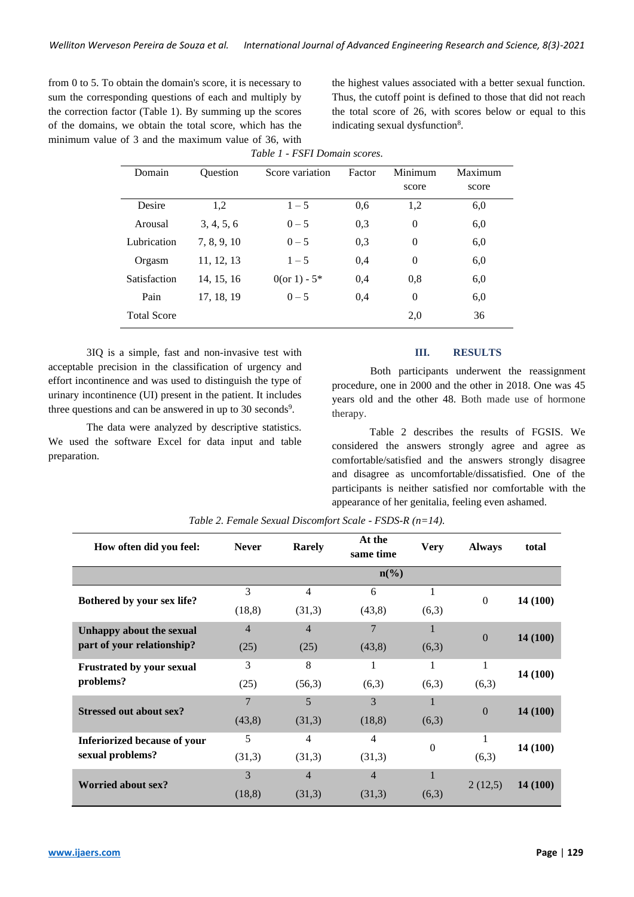from 0 to 5. To obtain the domain's score, it is necessary to sum the corresponding questions of each and multiply by the correction factor (Table 1). By summing up the scores of the domains, we obtain the total score, which has the minimum value of 3 and the maximum value of 36, with the highest values associated with a better sexual function. Thus, the cutoff point is defined to those that did not reach the total score of 26, with scores below or equal to this indicating sexual dysfunction<sup>8</sup>.

| Table 1 - FSFI Domain scores. |                 |                 |        |                  |         |  |
|-------------------------------|-----------------|-----------------|--------|------------------|---------|--|
| Domain                        | <b>Ouestion</b> | Score variation | Factor | Minimum          | Maximum |  |
|                               |                 |                 |        | score            | score   |  |
| Desire                        | 1,2             | $1 - 5$         | 0.6    | 1,2              | 6,0     |  |
| Arousal                       | 3, 4, 5, 6      | $0 - 5$         | 0,3    | $\theta$         | 6,0     |  |
| Lubrication                   | 7, 8, 9, 10     | $0 - 5$         | 0.3    | $\boldsymbol{0}$ | 6,0     |  |
| Orgasm                        | 11, 12, 13      | $1 - 5$         | 0,4    | $\theta$         | 6,0     |  |
| Satisfaction                  | 14, 15, 16      | 0(or 1) - $5*$  | 0,4    | 0,8              | 6,0     |  |
| Pain                          | 17, 18, 19      | $0 - 5$         | 0.4    | $\theta$         | 6,0     |  |
| <b>Total Score</b>            |                 |                 |        | 2,0              | 36      |  |

3IQ is a simple, fast and non-invasive test with acceptable precision in the classification of urgency and effort incontinence and was used to distinguish the type of urinary incontinence (UI) present in the patient. It includes three questions and can be answered in up to 30 seconds<sup>9</sup>.

The data were analyzed by descriptive statistics. We used the software Excel for data input and table preparation.

#### **III. RESULTS**

Both participants underwent the reassignment procedure, one in 2000 and the other in 2018. One was 45 years old and the other 48. Both made use of hormone therapy.

Table 2 describes the results of FGSIS. We considered the answers strongly agree and agree as comfortable/satisfied and the answers strongly disagree and disagree as uncomfortable/dissatisfied. One of the participants is neither satisfied nor comfortable with the appearance of her genitalia, feeling even ashamed.

| How often did you feel:          | <b>Never</b>   | <b>Rarely</b>    | At the<br>same time         | <b>Very</b> | <b>Always</b>  | total    |
|----------------------------------|----------------|------------------|-----------------------------|-------------|----------------|----------|
|                                  |                |                  | $n\left(\frac{9}{6}\right)$ |             |                |          |
| Bothered by your sex life?       | 3              | 4                | 6                           |             | $\theta$       | 14 (100) |
|                                  | (18, 8)        | (43,8)<br>(31,3) |                             | (6,3)       |                |          |
| Unhappy about the sexual         | $\overline{4}$ | $\overline{4}$   | 7                           |             | $\overline{0}$ | 14(100)  |
| part of your relationship?       | (25)           | (25)             | (43,8)                      | (6,3)       |                |          |
| <b>Frustrated by your sexual</b> | 3              | 8                | $\mathbf{1}$                |             | $\mathbf{1}$   | 14 (100) |
| problems?                        | (25)           | (56,3)           | (6,3)                       | (6,3)       | (6,3)          |          |
| <b>Stressed out about sex?</b>   | $\overline{7}$ | 5                | 3                           |             | $\Omega$       | 14(100)  |
|                                  | (43,8)         | (31,3)           | (18, 8)                     | (6,3)       |                |          |
| Inferiorized because of your     | 5              | 4                | 4                           | $\Omega$    |                | 14 (100) |
| sexual problems?                 | (31,3)         | (31,3)           | (31,3)                      |             | (6,3)          |          |
| <b>Worried about sex?</b>        | 3              | $\overline{4}$   | $\overline{4}$              |             |                |          |
|                                  | (18, 8)        | (31,3)           | (31,3)                      | (6,3)       | 2(12,5)        | 14(100)  |

*Table 2. Female Sexual Discomfort Scale - FSDS-R (n=14).*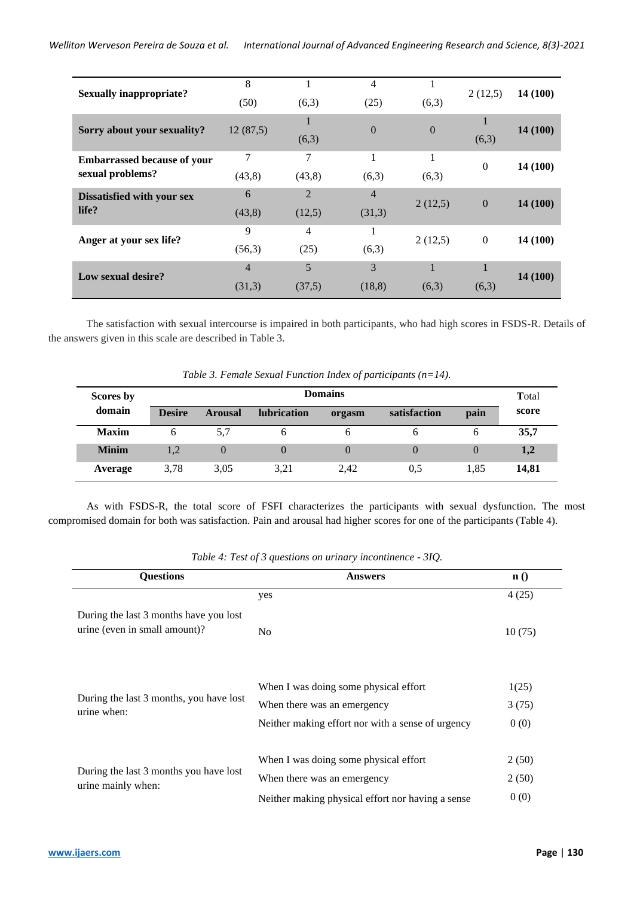| <b>Sexually inappropriate?</b>     | 8              |                | 4              |          | 2(12,5)                   | 14 (100) |
|------------------------------------|----------------|----------------|----------------|----------|---------------------------|----------|
|                                    | (50)           | (6,3)          | (25)           | (6,3)    |                           |          |
| Sorry about your sexuality?        | 12(87,5)       | 1              | $\theta$       | $\theta$ |                           | 14(100)  |
|                                    |                | (6,3)          |                |          | (6,3)                     |          |
| <b>Embarrassed because of your</b> | 7              | 7              | 1              | 1        | $\Omega$                  | 14 (100) |
| sexual problems?                   | (43,8)         | (43, 8)        | (6,3)          | (6,3)    |                           |          |
| Dissatisfied with your sex         | 6              | $\overline{2}$ | $\overline{4}$ |          | $\overline{0}$            | 14(100)  |
| life?                              | (43, 8)        | (12,5)         | (31,3)         | 2(12,5)  |                           |          |
| Anger at your sex life?            | 9              | 4              | Ι.             |          | $\overline{0}$<br>2(12,5) | 14 (100) |
|                                    | (56,3)         | (25)           | (6,3)          |          |                           |          |
| Low sexual desire?                 | $\overline{4}$ | 5              | 3              |          |                           | 14(100)  |
|                                    | (31,3)         | (37,5)         | (18, 8)        | (6,3)    | (6,3)                     |          |
|                                    |                |                |                |          |                           |          |

The satisfaction with sexual intercourse is impaired in both participants, who had high scores in FSDS-R. Details of the answers given in this scale are described in Table 3.

|              |                |                |             |        | Twee s. I chance sexual I anche mack of participants $(n-1)$ . |      |       |
|--------------|----------------|----------------|-------------|--------|----------------------------------------------------------------|------|-------|
| Scores by    | <b>Domains</b> |                |             |        |                                                                |      |       |
| domain       | <b>Desire</b>  | <b>Arousal</b> | lubrication | orgasm | satisfaction                                                   | pain | score |
| <b>Maxim</b> |                | 5.7            |             |        |                                                                | h    | 35,7  |
| <b>Minim</b> | 1.2            |                |             |        | $\left( \right)$                                               |      | 1,2   |
| Average      | 3.78           | 3.05           | 3.21        | 2.42   | 0.5                                                            | 1.85 | 14.81 |

*Table 3. Female Sexual Function Index of participants (n=14).*

As with FSDS-R, the total score of FSFI characterizes the participants with sexual dysfunction. The most compromised domain for both was satisfaction. Pain and arousal had higher scores for one of the participants (Table 4).

| <b>Questions</b>                                                        | <b>Answers</b>                                    | $\mathbf{n}$ () |  |
|-------------------------------------------------------------------------|---------------------------------------------------|-----------------|--|
|                                                                         | yes                                               | 4(25)           |  |
| During the last 3 months have you lost<br>urine (even in small amount)? | No                                                | 10(75)          |  |
|                                                                         | When I was doing some physical effort             | 1(25)           |  |
| During the last 3 months, you have lost<br>urine when:                  | When there was an emergency                       | 3(75)           |  |
|                                                                         | Neither making effort nor with a sense of urgency | 0(0)            |  |
|                                                                         | When I was doing some physical effort             | 2(50)           |  |
| During the last 3 months you have lost<br>urine mainly when:            | When there was an emergency                       | 2(50)           |  |
|                                                                         | Neither making physical effort nor having a sense | 0(0)            |  |

*Table 4: Test of 3 questions on urinary incontinence - 3IQ.*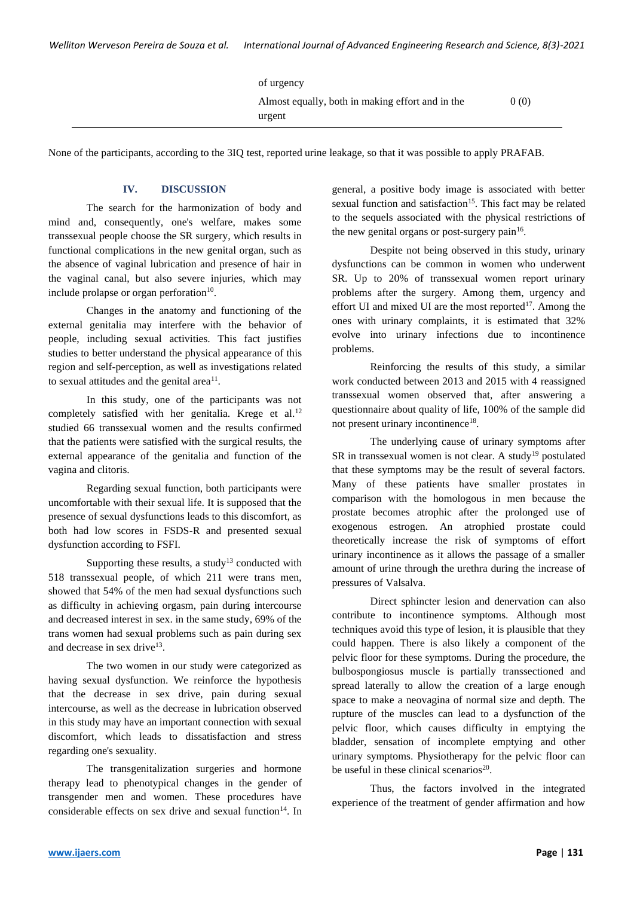| of urgency                                                 |      |
|------------------------------------------------------------|------|
| Almost equally, both in making effort and in the<br>urgent | 0(0) |
|                                                            |      |

None of the participants, according to the 3IQ test, reported urine leakage, so that it was possible to apply PRAFAB.

# **IV. DISCUSSION**

The search for the harmonization of body and mind and, consequently, one's welfare, makes some transsexual people choose the SR surgery, which results in functional complications in the new genital organ, such as the absence of vaginal lubrication and presence of hair in the vaginal canal, but also severe injuries, which may include prolapse or organ perforation $10$ .

Changes in the anatomy and functioning of the external genitalia may interfere with the behavior of people, including sexual activities. This fact justifies studies to better understand the physical appearance of this region and self-perception, as well as investigations related to sexual attitudes and the genital area $<sup>11</sup>$ .</sup>

In this study, one of the participants was not completely satisfied with her genitalia. Krege et al.<sup>12</sup> studied 66 transsexual women and the results confirmed that the patients were satisfied with the surgical results, the external appearance of the genitalia and function of the vagina and clitoris.

Regarding sexual function, both participants were uncomfortable with their sexual life. It is supposed that the presence of sexual dysfunctions leads to this discomfort, as both had low scores in FSDS-R and presented sexual dysfunction according to FSFI.

Supporting these results, a study<sup>13</sup> conducted with 518 transsexual people, of which 211 were trans men, showed that 54% of the men had sexual dysfunctions such as difficulty in achieving orgasm, pain during intercourse and decreased interest in sex. in the same study, 69% of the trans women had sexual problems such as pain during sex and decrease in sex drive<sup>13</sup>.

The two women in our study were categorized as having sexual dysfunction. We reinforce the hypothesis that the decrease in sex drive, pain during sexual intercourse, as well as the decrease in lubrication observed in this study may have an important connection with sexual discomfort, which leads to dissatisfaction and stress regarding one's sexuality.

The transgenitalization surgeries and hormone therapy lead to phenotypical changes in the gender of transgender men and women. These procedures have considerable effects on sex drive and sexual function<sup>14</sup>. In general, a positive body image is associated with better sexual function and satisfaction<sup>15</sup>. This fact may be related to the sequels associated with the physical restrictions of the new genital organs or post-surgery pain<sup>16</sup>.

Despite not being observed in this study, urinary dysfunctions can be common in women who underwent SR. Up to 20% of transsexual women report urinary problems after the surgery. Among them, urgency and effort UI and mixed UI are the most reported<sup>17</sup>. Among the ones with urinary complaints, it is estimated that 32% evolve into urinary infections due to incontinence problems.

Reinforcing the results of this study, a similar work conducted between 2013 and 2015 with 4 reassigned transsexual women observed that, after answering a questionnaire about quality of life, 100% of the sample did not present urinary incontinence<sup>18</sup>.

The underlying cause of urinary symptoms after SR in transsexual women is not clear. A study<sup>19</sup> postulated that these symptoms may be the result of several factors. Many of these patients have smaller prostates in comparison with the homologous in men because the prostate becomes atrophic after the prolonged use of exogenous estrogen. An atrophied prostate could theoretically increase the risk of symptoms of effort urinary incontinence as it allows the passage of a smaller amount of urine through the urethra during the increase of pressures of Valsalva.

Direct sphincter lesion and denervation can also contribute to incontinence symptoms. Although most techniques avoid this type of lesion, it is plausible that they could happen. There is also likely a component of the pelvic floor for these symptoms. During the procedure, the bulbospongiosus muscle is partially transsectioned and spread laterally to allow the creation of a large enough space to make a neovagina of normal size and depth. The rupture of the muscles can lead to a dysfunction of the pelvic floor, which causes difficulty in emptying the bladder, sensation of incomplete emptying and other urinary symptoms. Physiotherapy for the pelvic floor can be useful in these clinical scenarios<sup>20</sup>.

Thus, the factors involved in the integrated experience of the treatment of gender affirmation and how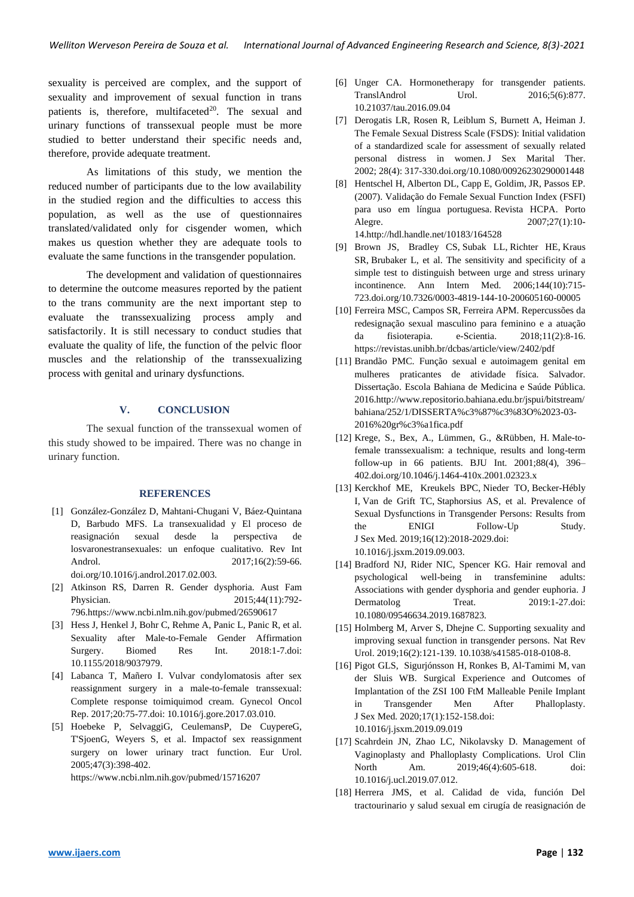sexuality is perceived are complex, and the support of sexuality and improvement of sexual function in trans patients is, therefore, multifaceted $20$ . The sexual and urinary functions of transsexual people must be more studied to better understand their specific needs and, therefore, provide adequate treatment.

As limitations of this study, we mention the reduced number of participants due to the low availability in the studied region and the difficulties to access this population, as well as the use of questionnaires translated/validated only for cisgender women, which makes us question whether they are adequate tools to evaluate the same functions in the transgender population.

The development and validation of questionnaires to determine the outcome measures reported by the patient to the trans community are the next important step to evaluate the transsexualizing process amply and satisfactorily. It is still necessary to conduct studies that evaluate the quality of life, the function of the pelvic floor muscles and the relationship of the transsexualizing process with genital and urinary dysfunctions.

# **V. CONCLUSION**

The sexual function of the transsexual women of this study showed to be impaired. There was no change in urinary function.

#### **REFERENCES**

- [1] González-González D, [Mahtani-Chugani](https://www.sciencedirect.com/science/article/abs/pii/S1698031X17300262#!) V, [Báez-Quintana](https://www.sciencedirect.com/science/article/abs/pii/S1698031X17300262#!) D, [Barbudo](https://www.sciencedirect.com/science/article/abs/pii/S1698031X17300262#!) MFS. La transexualidad y El proceso de reasignación sexual desde la perspectiva de losvaronestransexuales: un enfoque cualitativo. Rev Int Androl. 2017;16(2):59-66. doi.org/10.1016/j.androl.2017.02.003.
- [2] Atkinson RS, Darren R. Gender dysphoria. [Aust Fam](https://www.ncbi.nlm.nih.gov/pubmed/26590617)  [Physician](https://www.ncbi.nlm.nih.gov/pubmed/26590617). 2015;44(11):792-79[6.https://www.ncbi.nlm.nih.gov/pubmed/26590617](https://www.ncbi.nlm.nih.gov/pubmed/26590617)
- [3] Hess J, Henkel J, Bohr C, Rehme A, Panic L, Panic R, et al. Sexuality after Male-to-Female Gender Affirmation Surgery. [Biomed Res Int.](https://www.ncbi.nlm.nih.gov/pubmed/29977922) 2018:1-7.doi: 10.1155/2018/9037979.
- [4] Labanca T, Mañero I. Vulvar condylomatosis after sex reassignment surgery in a male-to-female transsexual: Complete response toimiquimod cream. [Gynecol Oncol](https://www.ncbi.nlm.nih.gov/pubmed/28349118)  [Rep.](https://www.ncbi.nlm.nih.gov/pubmed/28349118) 2017;20:75-77.doi: 10.1016/j.gore.2017.03.010.
- [5] Hoebeke P, [SelvaggiG](javascript:void(0);), [CeulemansP](javascript:void(0);), [De CuypereG](javascript:void(0);), [T'SjoenG](javascript:void(0);), [Weyers](javascript:void(0);) S, et al. Impactof sex reassignment surgery on lower urinary tract function. [Eur Urol.](https://www.ncbi.nlm.nih.gov/pubmed/15716207) 2005;47(3):398-402.

<https://www.ncbi.nlm.nih.gov/pubmed/15716207>

- [6] Unger CA. Hormonetherapy for transgender patients. TranslAndrol Urol. 2016;5(6):877. 10.21037/tau.2016.09.04
- [7] Derogatis LR, Rosen R, Leiblum S, Burnett A, Heiman J. The Female Sexual Distress Scale (FSDS): Initial validation of a standardized scale for assessment of sexually related personal distress in women. [J Sex Marital Ther.](https://www.ncbi.nlm.nih.gov/pubmed/12082670) 2002; 28(4): 317-330.doi.org/10.1080/00926230290001448
- [8] Hentschel H, Alberton DL, Capp E, Goldim, JR, Passos EP. (2007). Validação do Female Sexual Function Index (FSFI) para uso em língua portuguesa. Revista HCPA. Porto Alegre. 2007;27(1):10-14.http://hdl.handle.net/10183/164528
- [9] Brown JS, [Bradley CS,](https://www.ncbi.nlm.nih.gov/pubmed/?term=Bradley%20CS%5BAuthor%5D&cauthor=true&cauthor_uid=16702587) [Subak LL,](https://www.ncbi.nlm.nih.gov/pubmed/?term=Subak%20LL%5BAuthor%5D&cauthor=true&cauthor_uid=16702587) [Richter HE,](https://www.ncbi.nlm.nih.gov/pubmed/?term=Richter%20HE%5BAuthor%5D&cauthor=true&cauthor_uid=16702587) [Kraus](https://www.ncbi.nlm.nih.gov/pubmed/?term=Kraus%20SR%5BAuthor%5D&cauthor=true&cauthor_uid=16702587)  [SR,](https://www.ncbi.nlm.nih.gov/pubmed/?term=Kraus%20SR%5BAuthor%5D&cauthor=true&cauthor_uid=16702587) [Brubaker L,](https://www.ncbi.nlm.nih.gov/pubmed/?term=Brubaker%20L%5BAuthor%5D&cauthor=true&cauthor_uid=16702587) et al. The sensitivity and specificity of a simple test to distinguish between urge and stress urinary incontinence. [Ann Intern Med.](https://www.ncbi.nlm.nih.gov/pubmed/16702587) 2006;144(10):715- 723.doi.org/10.7326/0003-4819-144-10-200605160-00005
- [10] Ferreira MSC, Campos SR, Ferreira APM. Repercussões da redesignação sexual masculino para feminino e a atuação da fisioterapia. e-Scientia. 2018;11(2):8-16. <https://revistas.unibh.br/dcbas/article/view/2402/pdf>
- [11] Brandão PMC. Função sexual e autoimagem genital em mulheres praticantes de atividade física. Salvador. Dissertação. Escola Bahiana de Medicina e Saúde Pública. 201[6.http://www.repositorio.bahiana.edu.br/jspui/bitstream/](http://www.repositorio.bahiana.edu.br/jspui/bitstream/bahiana/252/1/DISSERTA%c3%87%c3%83O%2023-03-2016%20gr%c3%a1fica.pdf) [bahiana/252/1/DISSERTA%c3%87%c3%83O%2023-03-](http://www.repositorio.bahiana.edu.br/jspui/bitstream/bahiana/252/1/DISSERTA%c3%87%c3%83O%2023-03-2016%20gr%c3%a1fica.pdf) [2016%20gr%c3%a1fica.pdf](http://www.repositorio.bahiana.edu.br/jspui/bitstream/bahiana/252/1/DISSERTA%c3%87%c3%83O%2023-03-2016%20gr%c3%a1fica.pdf)
- [12] Krege, S., Bex, A., Lümmen, G., &Rübben, H. Male-tofemale transsexualism: a technique, results and long-term follow-up in 66 patients. BJU Int. 2001;88(4), 396– 402.doi.org/10.1046/j.1464-410x.2001.02323.x
- [13] Kerckhof ME, [Kreukels BPC,](https://www.ncbi.nlm.nih.gov/pubmed/?term=Kreukels%20BPC%5BAuthor%5D&cauthor=true&cauthor_uid=31668732) [Nieder TO,](https://www.ncbi.nlm.nih.gov/pubmed/?term=Nieder%20TO%5BAuthor%5D&cauthor=true&cauthor_uid=31668732) Becker-Hébly [I,](https://www.ncbi.nlm.nih.gov/pubmed/?term=Becker-H%C3%A9bly%20I%5BAuthor%5D&cauthor=true&cauthor_uid=31668732) [Van de Grift TC,](https://www.ncbi.nlm.nih.gov/pubmed/?term=van%20de%20Grift%20TC%5BAuthor%5D&cauthor=true&cauthor_uid=31668732) [Staphorsius AS,](https://www.ncbi.nlm.nih.gov/pubmed/?term=Staphorsius%20AS%5BAuthor%5D&cauthor=true&cauthor_uid=31668732) et al. Prevalence of Sexual Dysfunctions in Transgender Persons: Results from the ENIGI Follow-Up Study. J Sex [Med.](https://www.ncbi.nlm.nih.gov/pubmed/31668732) 2019;16(12):2018-2029.doi: 10.1016/j.jsxm.2019.09.003.
- [14] Bradford NJ, Rider NIC, Spencer KG. Hair removal and psychological well-being in transfeminine adults: Associations with gender dysphoria and gender euphoria. [J](https://www.ncbi.nlm.nih.gov/pubmed/31668100)  [Dermatolog Treat.](https://www.ncbi.nlm.nih.gov/pubmed/31668100) 2019:1-27.doi: 10.1080/09546634.2019.1687823.
- [15] Holmberg M, Arver S, Dhejne C. Supporting sexuality and improving sexual function in transgender persons. [Nat Rev](https://www.ncbi.nlm.nih.gov/pubmed/30375495)  [Urol.](https://www.ncbi.nlm.nih.gov/pubmed/30375495) 2019;16(2):121-139. 10.1038/s41585-018-0108-8.
- [16] Pigot GLS, [Sigurjónsson H,](https://www.ncbi.nlm.nih.gov/pubmed/?term=Sigurj%C3%B3nsson%20H%5BAuthor%5D&cauthor=true&cauthor_uid=31680006) [Ronkes B,](https://www.ncbi.nlm.nih.gov/pubmed/?term=Ronkes%20B%5BAuthor%5D&cauthor=true&cauthor_uid=31680006) [Al-Tamimi M,](https://www.ncbi.nlm.nih.gov/pubmed/?term=Al-Tamimi%20M%5BAuthor%5D&cauthor=true&cauthor_uid=31680006) [van](https://www.ncbi.nlm.nih.gov/pubmed/?term=van%20der%20Sluis%20WB%5BAuthor%5D&cauthor=true&cauthor_uid=31680006)  [der Sluis WB.](https://www.ncbi.nlm.nih.gov/pubmed/?term=van%20der%20Sluis%20WB%5BAuthor%5D&cauthor=true&cauthor_uid=31680006) Surgical Experience and Outcomes of Implantation of the ZSI 100 FtM Malleable Penile Implant in Transgender Men After Phalloplasty. J Sex [Med.](https://www.ncbi.nlm.nih.gov/pubmed/31680006) 2020;17(1):152-158.doi: 10.1016/j.jsxm.2019.09.019
- [17] Scahrdein JN, Zhao LC, Nikolavsky D. Management of Vaginoplasty and Phalloplasty Complications. [Urol Clin](https://www.ncbi.nlm.nih.gov/pubmed/31582033)  [North Am.](https://www.ncbi.nlm.nih.gov/pubmed/31582033) 2019;46(4):605-618. doi: 10.1016/j.ucl.2019.07.012.
- [18] Herrera JMS, et al. Calidad de vida, función Del tractourinario y salud sexual em cirugía de reasignación de